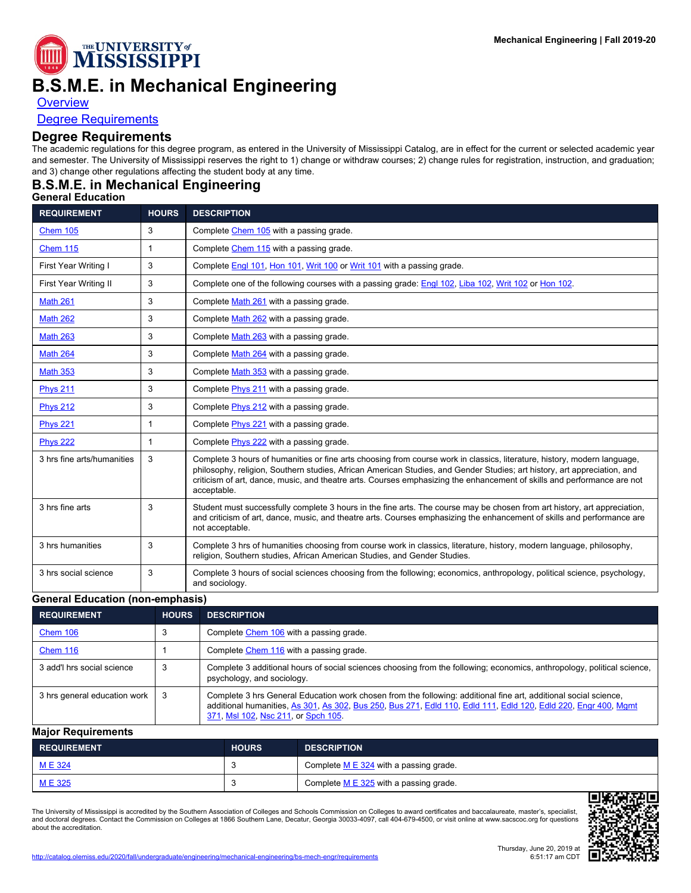

# **B.S.M.E. in Mechanical Engineering**

**[Overview](http://catalog.olemiss.edu/engineering/mechanical-engineering/bs-mech-engr)** 

[Degree Requirements](http://catalog.olemiss.edu/engineering/mechanical-engineering/bs-mech-engr/requirements)

## **Degree Requirements**

The academic regulations for this degree program, as entered in the University of Mississippi Catalog, are in effect for the current or selected academic year and semester. The University of Mississippi reserves the right to 1) change or withdraw courses; 2) change rules for registration, instruction, and graduation; and 3) change other regulations affecting the student body at any time.

# **B.S.M.E. in Mechanical Engineering**

#### **General Education**

| <b>REQUIREMENT</b>         | <b>HOURS</b> | <b>DESCRIPTION</b>                                                                                                                                                                                                                                                                                                                                                                             |  |  |
|----------------------------|--------------|------------------------------------------------------------------------------------------------------------------------------------------------------------------------------------------------------------------------------------------------------------------------------------------------------------------------------------------------------------------------------------------------|--|--|
| <b>Chem 105</b>            | 3            | Complete Chem 105 with a passing grade.                                                                                                                                                                                                                                                                                                                                                        |  |  |
| <b>Chem 115</b>            | $\mathbf{1}$ | Complete Chem 115 with a passing grade.                                                                                                                                                                                                                                                                                                                                                        |  |  |
| First Year Writing I       | 3            | Complete Engl 101, Hon 101, Writ 100 or Writ 101 with a passing grade.                                                                                                                                                                                                                                                                                                                         |  |  |
| First Year Writing II      | 3            | Complete one of the following courses with a passing grade: Engl 102, Liba 102, Writ 102 or Hon 102.                                                                                                                                                                                                                                                                                           |  |  |
| <b>Math 261</b>            | 3            | Complete Math 261 with a passing grade.                                                                                                                                                                                                                                                                                                                                                        |  |  |
| <b>Math 262</b>            | 3            | Complete Math 262 with a passing grade.                                                                                                                                                                                                                                                                                                                                                        |  |  |
| <b>Math 263</b>            | 3            | Complete Math 263 with a passing grade.                                                                                                                                                                                                                                                                                                                                                        |  |  |
| <b>Math 264</b>            | 3            | Complete Math 264 with a passing grade.                                                                                                                                                                                                                                                                                                                                                        |  |  |
| <b>Math 353</b>            | 3            | Complete Math 353 with a passing grade.                                                                                                                                                                                                                                                                                                                                                        |  |  |
| <b>Phys 211</b>            | 3            | Complete <i>Phys 211</i> with a passing grade.                                                                                                                                                                                                                                                                                                                                                 |  |  |
| <b>Phys 212</b>            | 3            | Complete Phys 212 with a passing grade.                                                                                                                                                                                                                                                                                                                                                        |  |  |
| <b>Phys 221</b>            | $\mathbf{1}$ | Complete <i>Phys 221</i> with a passing grade.                                                                                                                                                                                                                                                                                                                                                 |  |  |
| <b>Phys 222</b>            | $\mathbf{1}$ | Complete Phys 222 with a passing grade.                                                                                                                                                                                                                                                                                                                                                        |  |  |
| 3 hrs fine arts/humanities | 3            | Complete 3 hours of humanities or fine arts choosing from course work in classics, literature, history, modern language,<br>philosophy, religion, Southern studies, African American Studies, and Gender Studies; art history, art appreciation, and<br>criticism of art, dance, music, and theatre arts. Courses emphasizing the enhancement of skills and performance are not<br>acceptable. |  |  |
| 3 hrs fine arts            | 3            | Student must successfully complete 3 hours in the fine arts. The course may be chosen from art history, art appreciation,<br>and criticism of art, dance, music, and theatre arts. Courses emphasizing the enhancement of skills and performance are<br>not acceptable.                                                                                                                        |  |  |
| 3 hrs humanities           | 3            | Complete 3 hrs of humanities choosing from course work in classics, literature, history, modern language, philosophy,<br>religion, Southern studies, African American Studies, and Gender Studies.                                                                                                                                                                                             |  |  |
| 3 hrs social science       | 3            | Complete 3 hours of social sciences choosing from the following; economics, anthropology, political science, psychology,<br>and sociology.                                                                                                                                                                                                                                                     |  |  |

#### **General Education (non-emphasis)**

| <b>REQUIREMENT</b>           | <b>HOURS</b> | <b>DESCRIPTION</b>                                                                                                                                                                                                                                                         |
|------------------------------|--------------|----------------------------------------------------------------------------------------------------------------------------------------------------------------------------------------------------------------------------------------------------------------------------|
| Chem 106                     |              | Complete Chem 106 with a passing grade.                                                                                                                                                                                                                                    |
| <b>Chem 116</b>              |              | Complete Chem 116 with a passing grade.                                                                                                                                                                                                                                    |
| 3 add'l hrs social science   |              | Complete 3 additional hours of social sciences choosing from the following; economics, anthropology, political science,<br>psychology, and sociology.                                                                                                                      |
| 3 hrs general education work | 3            | Complete 3 hrs General Education work chosen from the following: additional fine art, additional social science,<br>additional humanities, As 301, As 302, Bus 250, Bus 271, Edld 110, Edld 111, Edld 120, Edld 220, Engr 400, Mgmt<br>371, MsI 102, Nsc 211, or Spch 105. |

#### **Major Requirements**

| <b>REQUIREMENT</b> | <b>HOURS</b> | <b>DESCRIPTION</b>                         |
|--------------------|--------------|--------------------------------------------|
| <u>ME324</u>       |              | Complete $M \to 324$ with a passing grade. |
| ME 325             |              | Complete M E 325 with a passing grade.     |

The University of Mississippi is accredited by the Southern Association of Colleges and Schools Commission on Colleges to award certificates and baccalaureate, master's, specialist,<br>and doctoral degrees. Contact the Commis about the accreditation.

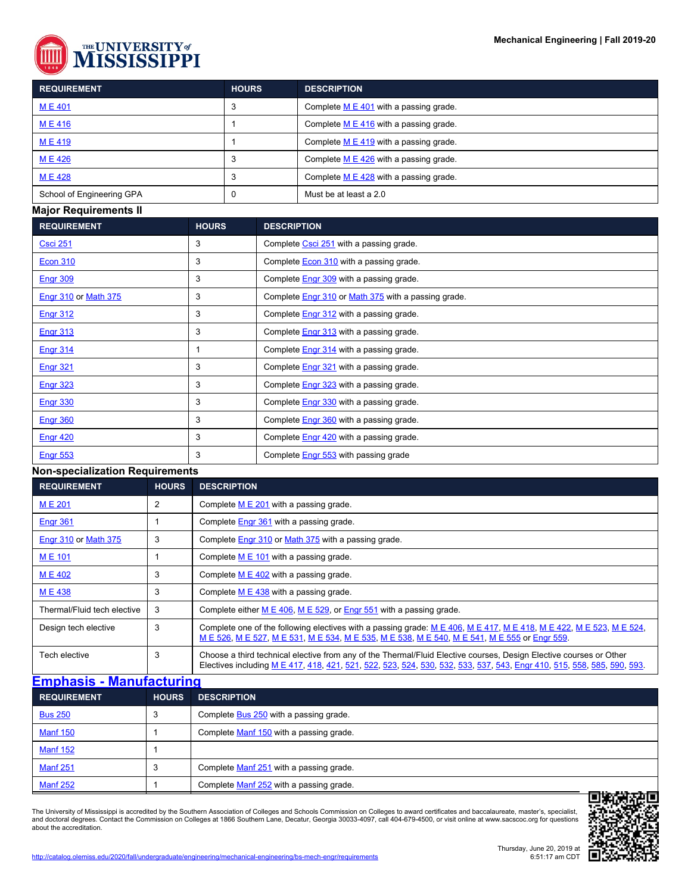

| <b>REQUIREMENT</b>        | <b>HOURS</b> | <b>DESCRIPTION</b>                         |
|---------------------------|--------------|--------------------------------------------|
| <b>ME401</b>              |              | Complete $M \to 401$ with a passing grade. |
| <b>ME416</b>              |              | Complete $M \to 416$ with a passing grade. |
| M E 419                   |              | Complete $M \to 419$ with a passing grade. |
| M E 426                   |              | Complete $M \to 426$ with a passing grade. |
| M E 428                   |              | Complete M E 428 with a passing grade.     |
| School of Engineering GPA |              | Must be at least a 2.0                     |

#### **Major Requirements II**

| <b>REQUIREMENT</b>          | <b>HOURS</b> | <b>DESCRIPTION</b>                                         |
|-----------------------------|--------------|------------------------------------------------------------|
| <b>Csci 251</b>             | 3            | Complete Csci 251 with a passing grade.                    |
| <b>Econ 310</b>             | 3            | Complete <b>Econ 310</b> with a passing grade.             |
| <b>Engr 309</b>             | 3            | Complete <b>Engr 309</b> with a passing grade.             |
| <b>Engr 310 or Math 375</b> | 3            | Complete <b>Engr</b> 310 or Math 375 with a passing grade. |
| Engr 312                    | 3            | Complete Engr 312 with a passing grade.                    |
| <b>Engr 313</b>             | 3            | Complete <b>Engr 313</b> with a passing grade.             |
| <b>Engr 314</b>             |              | Complete <b>Engr 314</b> with a passing grade.             |
| <b>Engr 321</b>             | 3            | Complete <b>Engr 321</b> with a passing grade.             |
| <b>Engr 323</b>             | 3            | Complete <b>Engr 323</b> with a passing grade.             |
| Engr 330                    | 3            | Complete Engr 330 with a passing grade.                    |
| <b>Engr 360</b>             | 3            | Complete <b>Engr 360</b> with a passing grade.             |
| <b>Engr 420</b>             | 3            | Complete <b>Engr 420</b> with a passing grade.             |
| <b>Engr 553</b>             | 3            | Complete Engr 553 with passing grade                       |

#### **Non-specialization Requirements**

| <b>REQUIREMENT</b>          | <b>HOURS</b> | <b>DESCRIPTION</b>                                                                                                                                                                                                                                |  |
|-----------------------------|--------------|---------------------------------------------------------------------------------------------------------------------------------------------------------------------------------------------------------------------------------------------------|--|
| <b>ME201</b>                | 2            | Complete $M \to 201$ with a passing grade.                                                                                                                                                                                                        |  |
| Engr 361                    |              | Complete <b>Engr 361</b> with a passing grade.                                                                                                                                                                                                    |  |
| <b>Engr 310 or Math 375</b> | 3            | Complete Engr 310 or Math 375 with a passing grade.                                                                                                                                                                                               |  |
| <b>ME101</b>                |              | Complete $M \to 101$ with a passing grade.                                                                                                                                                                                                        |  |
| <b>ME402</b>                | 3            | Complete $M \to 402$ with a passing grade.                                                                                                                                                                                                        |  |
| <b>ME438</b>                | 3            | Complete $M \to 438$ with a passing grade.                                                                                                                                                                                                        |  |
| Thermal/Fluid tech elective | 3            | Complete either $M \to 406$ , $M \to 529$ , or Engr 551 with a passing grade.                                                                                                                                                                     |  |
| Design tech elective        | 3            | Complete one of the following electives with a passing grade: $M \to 406$ , $M \to 417$ , $M \to 418$ , $M \to 422$ , $M \to 523$ , $M \to 524$ ,<br>M E 526, M E 527, M E 531, M E 534, M E 535, M E 538, M E 540, M E 541, M E 555 or Engr 559. |  |
| Tech elective               | 3            | Choose a third technical elective from any of the Thermal/Fluid Elective courses, Design Elective courses or Other<br>Electives including M E 417, 418, 421, 521, 522, 523, 524, 530, 532, 533, 537, 543, Engr 410, 515, 558, 585, 590, 593.      |  |

### **[Emphasis - Manufacturing](http://catalog.olemiss.edu/engineering/mechanical-engineering/bs-mech-engr/bsme-man)**

| <b>REQUIREMENT</b> | <b>HOURS</b> | <b>DESCRIPTION</b>                              |  |
|--------------------|--------------|-------------------------------------------------|--|
| <b>Bus 250</b>     |              | Complete <b>Bus 250</b> with a passing grade.   |  |
| <b>Manf 150</b>    |              | Complete Manf 150 with a passing grade.         |  |
| <b>Manf 152</b>    |              |                                                 |  |
| <b>Manf 251</b>    |              | Complete Manf 251 with a passing grade.         |  |
| <b>Manf 252</b>    |              | Complete Manf 252 with a passing grade.<br>---- |  |

The University of Mississippi is accredited by the Southern Association of Colleges and Schools Commission on Colleges to award certificates and baccalaureate, master's, specialist,<br>and doctoral degrees. Contact the Commis about the accreditation.